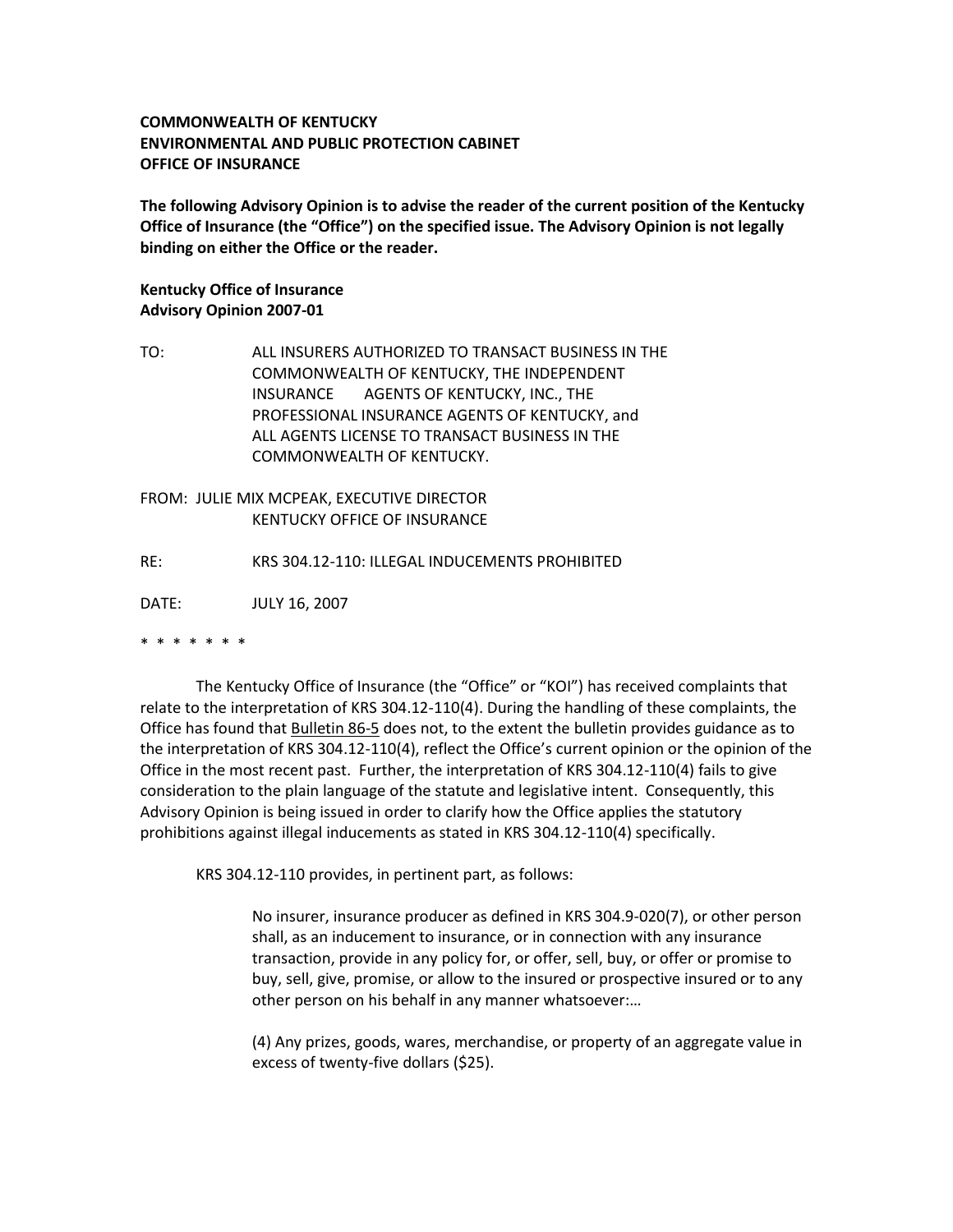## **COMMONWEALTH OF KENTUCKY ENVIRONMENTAL AND PUBLIC PROTECTION CABINET OFFICE OF INSURANCE**

**The following Advisory Opinion is to advise the reader of the current position of the Kentucky Office of Insurance (the "Office") on the specified issue. The Advisory Opinion is not legally binding on either the Office or the reader.**

## **Kentucky Office of Insurance Advisory Opinion 2007-01**

TO: ALL INSURERS AUTHORIZED TO TRANSACT BUSINESS IN THE COMMONWEALTH OF KENTUCKY, THE INDEPENDENT INSURANCE AGENTS OF KENTUCKY, INC., THE PROFESSIONAL INSURANCE AGENTS OF KENTUCKY, and ALL AGENTS LICENSE TO TRANSACT BUSINESS IN THE COMMONWEALTH OF KENTUCKY.

## FROM: JULIE MIX MCPEAK, EXECUTIVE DIRECTOR KENTUCKY OFFICE OF INSURANCE

RE: KRS 304.12-110: ILLEGAL INDUCEMENTS PROHIBITED

DATE: JULY 16, 2007

## \* \* \* \* \* \* \*

The Kentucky Office of Insurance (the "Office" or "KOI") has received complaints that relate to the interpretation of KRS 304.12-110(4). During the handling of these complaints, the Office has found that Bulletin 86-5 does not, to the extent the bulletin provides guidance as to the interpretation of KRS 304.12-110(4), reflect the Office's current opinion or the opinion of the Office in the most recent past. Further, the interpretation of KRS 304.12-110(4) fails to give consideration to the plain language of the statute and legislative intent. Consequently, this Advisory Opinion is being issued in order to clarify how the Office applies the statutory prohibitions against illegal inducements as stated in KRS 304.12-110(4) specifically.

KRS 304.12-110 provides, in pertinent part, as follows:

No insurer, insurance producer as defined in KRS 304.9-020(7), or other person shall, as an inducement to insurance, or in connection with any insurance transaction, provide in any policy for, or offer, sell, buy, or offer or promise to buy, sell, give, promise, or allow to the insured or prospective insured or to any other person on his behalf in any manner whatsoever:…

(4) Any prizes, goods, wares, merchandise, or property of an aggregate value in excess of twenty-five dollars (\$25).